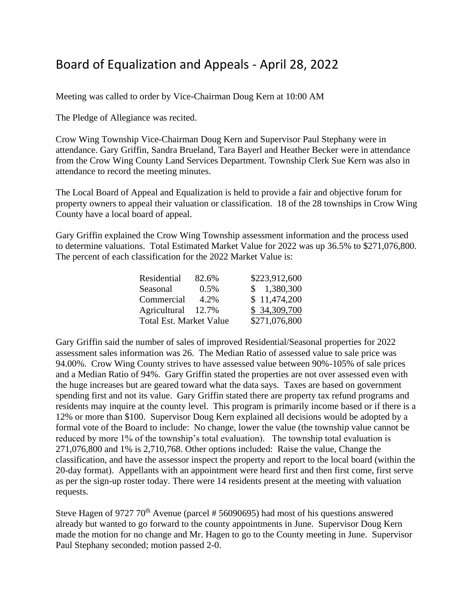## Board of Equalization and Appeals - April 28, 2022

Meeting was called to order by Vice-Chairman Doug Kern at 10:00 AM

The Pledge of Allegiance was recited.

Crow Wing Township Vice-Chairman Doug Kern and Supervisor Paul Stephany were in attendance. Gary Griffin, Sandra Brueland, Tara Bayerl and Heather Becker were in attendance from the Crow Wing County Land Services Department. Township Clerk Sue Kern was also in attendance to record the meeting minutes.

The Local Board of Appeal and Equalization is held to provide a fair and objective forum for property owners to appeal their valuation or classification. 18 of the 28 townships in Crow Wing County have a local board of appeal.

Gary Griffin explained the Crow Wing Township assessment information and the process used to determine valuations. Total Estimated Market Value for 2022 was up 36.5% to \$271,076,800. The percent of each classification for the 2022 Market Value is:

| Residential                    | 82.6% | \$223,912,600 |
|--------------------------------|-------|---------------|
| Seasonal                       | 0.5%  | \$1,380,300   |
| Commercial                     | 4.2%  | \$11,474,200  |
| Agricultural 12.7%             |       | \$34,309,700  |
| <b>Total Est. Market Value</b> |       | \$271,076,800 |

Gary Griffin said the number of sales of improved Residential/Seasonal properties for 2022 assessment sales information was 26. The Median Ratio of assessed value to sale price was 94.00%. Crow Wing County strives to have assessed value between 90%-105% of sale prices and a Median Ratio of 94%. Gary Griffin stated the properties are not over assessed even with the huge increases but are geared toward what the data says. Taxes are based on government spending first and not its value. Gary Griffin stated there are property tax refund programs and residents may inquire at the county level. This program is primarily income based or if there is a 12% or more than \$100. Supervisor Doug Kern explained all decisions would be adopted by a formal vote of the Board to include: No change, lower the value (the township value cannot be reduced by more 1% of the township's total evaluation). The township total evaluation is 271,076,800 and 1% is 2,710,768. Other options included: Raise the value, Change the classification, and have the assessor inspect the property and report to the local board (within the 20-day format). Appellants with an appointment were heard first and then first come, first serve as per the sign-up roster today. There were 14 residents present at the meeting with valuation requests.

Steve Hagen of 9727  $70<sup>th</sup>$  Avenue (parcel # 56090695) had most of his questions answered already but wanted to go forward to the county appointments in June. Supervisor Doug Kern made the motion for no change and Mr. Hagen to go to the County meeting in June. Supervisor Paul Stephany seconded; motion passed 2-0.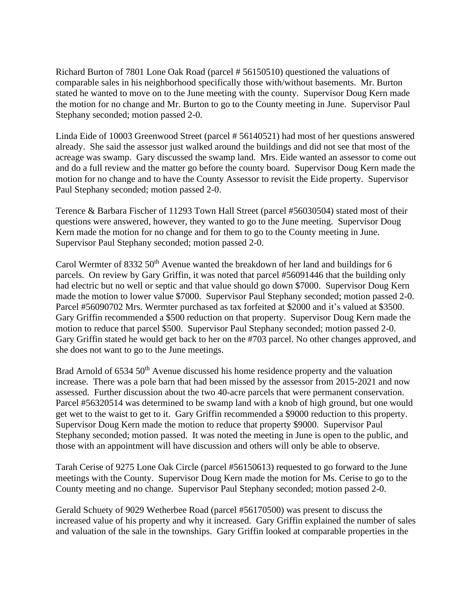Richard Burton of 7801 Lone Oak Road (parcel # 56150510) questioned the valuations of comparable sales in his neighborhood specifically those with/without basements. Mr. Burton stated he wanted to move on to the June meeting with the county. Supervisor Doug Kern made the motion for no change and Mr. Burton to go to the County meeting in June. Supervisor Paul Stephany seconded; motion passed 2-0.

Linda Eide of 10003 Greenwood Street (parcel # 56140521) had most of her questions answered already. She said the assessor just walked around the buildings and did not see that most of the acreage was swamp. Gary discussed the swamp land. Mrs. Eide wanted an assessor to come out and do a full review and the matter go before the county board. Supervisor Doug Kern made the motion for no change and to have the County Assessor to revisit the Eide property. Supervisor Paul Stephany seconded; motion passed 2-0.

Terence & Barbara Fischer of 11293 Town Hall Street (parcel #56030504) stated most of their questions were answered, however, they wanted to go to the June meeting. Supervisor Doug Kern made the motion for no change and for them to go to the County meeting in June. Supervisor Paul Stephany seconded; motion passed 2-0.

Carol Wermter of 8332 50<sup>th</sup> Avenue wanted the breakdown of her land and buildings for 6 parcels. On review by Gary Griffin, it was noted that parcel #56091446 that the building only had electric but no well or septic and that value should go down \$7000. Supervisor Doug Kern made the motion to lower value \$7000. Supervisor Paul Stephany seconded; motion passed 2-0. Parcel #56090702 Mrs. Wermter purchased as tax forfeited at \$2000 and it's valued at \$3500. Gary Griffin recommended a \$500 reduction on that property. Supervisor Doug Kern made the motion to reduce that parcel \$500. Supervisor Paul Stephany seconded; motion passed 2-0. Gary Griffin stated he would get back to her on the #703 parcel. No other changes approved, and she does not want to go to the June meetings.

Brad Arnold of 6534 50<sup>th</sup> Avenue discussed his home residence property and the valuation increase. There was a pole barn that had been missed by the assessor from 2015-2021 and now assessed. Further discussion about the two 40-acre parcels that were permanent conservation. Parcel #56320514 was determined to be swamp land with a knob of high ground, but one would get wet to the waist to get to it. Gary Griffin recommended a \$9000 reduction to this property. Supervisor Doug Kern made the motion to reduce that property \$9000. Supervisor Paul Stephany seconded; motion passed. It was noted the meeting in June is open to the public, and those with an appointment will have discussion and others will only be able to observe.

Tarah Cerise of 9275 Lone Oak Circle (parcel #56150613) requested to go forward to the June meetings with the County. Supervisor Doug Kern made the motion for Ms. Cerise to go to the County meeting and no change. Supervisor Paul Stephany seconded; motion passed 2-0.

Gerald Schuety of 9029 Wetherbee Road (parcel #56170500) was present to discuss the increased value of his property and why it increased. Gary Griffin explained the number of sales and valuation of the sale in the townships. Gary Griffin looked at comparable properties in the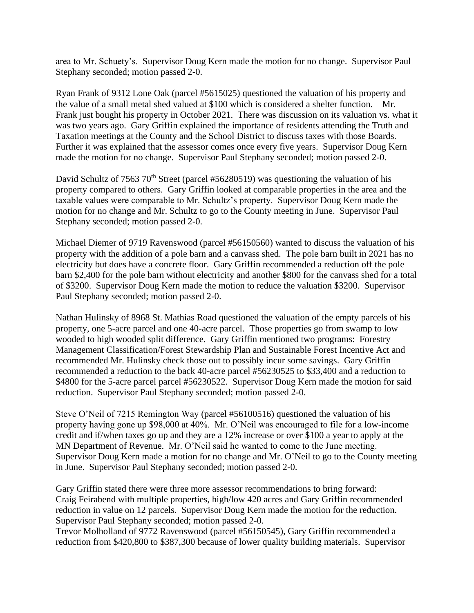area to Mr. Schuety's. Supervisor Doug Kern made the motion for no change. Supervisor Paul Stephany seconded; motion passed 2-0.

Ryan Frank of 9312 Lone Oak (parcel #5615025) questioned the valuation of his property and the value of a small metal shed valued at \$100 which is considered a shelter function. Mr. Frank just bought his property in October 2021. There was discussion on its valuation vs. what it was two years ago. Gary Griffin explained the importance of residents attending the Truth and Taxation meetings at the County and the School District to discuss taxes with those Boards. Further it was explained that the assessor comes once every five years. Supervisor Doug Kern made the motion for no change. Supervisor Paul Stephany seconded; motion passed 2-0.

David Schultz of 7563 70<sup>th</sup> Street (parcel #56280519) was questioning the valuation of his property compared to others. Gary Griffin looked at comparable properties in the area and the taxable values were comparable to Mr. Schultz's property. Supervisor Doug Kern made the motion for no change and Mr. Schultz to go to the County meeting in June. Supervisor Paul Stephany seconded; motion passed 2-0.

Michael Diemer of 9719 Ravenswood (parcel #56150560) wanted to discuss the valuation of his property with the addition of a pole barn and a canvass shed. The pole barn built in 2021 has no electricity but does have a concrete floor. Gary Griffin recommended a reduction off the pole barn \$2,400 for the pole barn without electricity and another \$800 for the canvass shed for a total of \$3200. Supervisor Doug Kern made the motion to reduce the valuation \$3200. Supervisor Paul Stephany seconded; motion passed 2-0.

Nathan Hulinsky of 8968 St. Mathias Road questioned the valuation of the empty parcels of his property, one 5-acre parcel and one 40-acre parcel. Those properties go from swamp to low wooded to high wooded split difference. Gary Griffin mentioned two programs: Forestry Management Classification/Forest Stewardship Plan and Sustainable Forest Incentive Act and recommended Mr. Hulinsky check those out to possibly incur some savings. Gary Griffin recommended a reduction to the back 40-acre parcel #56230525 to \$33,400 and a reduction to \$4800 for the 5-acre parcel parcel #56230522. Supervisor Doug Kern made the motion for said reduction. Supervisor Paul Stephany seconded; motion passed 2-0.

Steve O'Neil of 7215 Remington Way (parcel #56100516) questioned the valuation of his property having gone up \$98,000 at 40%. Mr. O'Neil was encouraged to file for a low-income credit and if/when taxes go up and they are a 12% increase or over \$100 a year to apply at the MN Department of Revenue. Mr. O'Neil said he wanted to come to the June meeting. Supervisor Doug Kern made a motion for no change and Mr. O'Neil to go to the County meeting in June. Supervisor Paul Stephany seconded; motion passed 2-0.

Gary Griffin stated there were three more assessor recommendations to bring forward: Craig Feirabend with multiple properties, high/low 420 acres and Gary Griffin recommended reduction in value on 12 parcels. Supervisor Doug Kern made the motion for the reduction. Supervisor Paul Stephany seconded; motion passed 2-0.

Trevor Molholland of 9772 Ravenswood (parcel #56150545), Gary Griffin recommended a reduction from \$420,800 to \$387,300 because of lower quality building materials. Supervisor